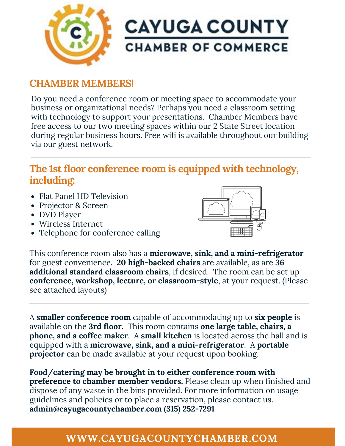

### **CHAMBER MEMBERS!**

Do you need a conference room or meeting space to accommodate your business or organizational needs? Perhaps you need a classroom setting with technology to support your presentations. Chamber Members have free access to our two meeting spaces within our 2 State Street location during regular business hours. Free wifi is available throughout our building via our guest network.

## **The 1st floor conference room is equipped with technology, including:**

- Flat Panel HD Television
- Projector & Screen
- DVD Player
- Wireless Internet
- Telephone for conference calling



This conference room also has a **microwave, sink, and a mini-refrigerator** for guest convenience. **20 high-backed chairs** are available, as are **36 additional standard classroom chairs**, if desired. The room can be set up **conference, workshop, lecture, or classroom-style**, at your request. (Please see attached layouts)

A **smaller conference room** capable of accommodating up to **six people** is available on the **3rd floor.** This room contains **one large table, chairs, a phone, and a coffee maker**. A **small kitchen** is located across the hall and is equipped with a **microwave, sink, and a mini-refrigerator**. A **portable projector** can be made available at your request upon booking.

**Food/catering may be brought in to either conference room with preference to chamber member vendors.** Please clean up when finished and dispose of any waste in the bins provided. For more information on usage guidelines and policies or to place a reservation, please contact us. **admin@cayugacountychamber.com (315) 252-7291**

## **WWW.CAYUGACOUNTYCHAMBER.COM**